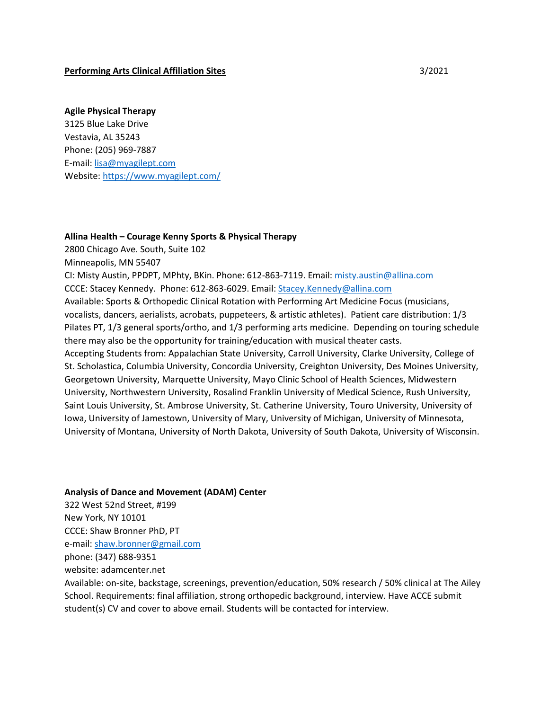#### **Performing Arts Clinical Affiliation Sites** 3/2021

#### **Agile Physical Therapy**

3125 Blue Lake Drive Vestavia, AL 35243 Phone: (205) 969-7887 E-mail: [lisa@myagilept.com](mailto:lisa@myagilept.com) Website[: https://www.myagilept.com/](https://www.myagilept.com/)

#### **Allina Health – Courage Kenny Sports & Physical Therapy**

2800 Chicago Ave. South, Suite 102

Minneapolis, MN 55407

CI: Misty Austin, PPDPT, MPhty, BKin. Phone: 612-863-7119. Email: [misty.austin@allina.com](mailto:misty.austin@allina.com) CCCE: Stacey Kennedy. Phone: 612-863-6029. Email[: Stacey.Kennedy@allina.com](mailto:Stacey.Kennedy@allina.com) Available: Sports & Orthopedic Clinical Rotation with Performing Art Medicine Focus (musicians, vocalists, dancers, aerialists, acrobats, puppeteers, & artistic athletes). Patient care distribution: 1/3 Pilates PT, 1/3 general sports/ortho, and 1/3 performing arts medicine. Depending on touring schedule there may also be the opportunity for training/education with musical theater casts. Accepting Students from: Appalachian State University, Carroll University, Clarke University, College of St. Scholastica, Columbia University, Concordia University, Creighton University, Des Moines University, Georgetown University, Marquette University, Mayo Clinic School of Health Sciences, Midwestern University, Northwestern University, Rosalind Franklin University of Medical Science, Rush University, Saint Louis University, St. Ambrose University, St. Catherine University, Touro University, University of Iowa, University of Jamestown, University of Mary, University of Michigan, University of Minnesota, University of Montana, University of North Dakota, University of South Dakota, University of Wisconsin.

#### **Analysis of Dance and Movement (ADAM) Center**

322 West 52nd Street, #199 New York, NY 10101 CCCE: Shaw Bronner PhD, PT e-mail: [shaw.bronner@gmail.com](mailto:shaw.bronner@gmail.com) phone: (347) 688-9351 website: adamcenter.net

Available: on-site, backstage, screenings, prevention/education, 50% research / 50% clinical at The Ailey School. Requirements: final affiliation, strong orthopedic background, interview. Have ACCE submit student(s) CV and cover to above email. Students will be contacted for interview.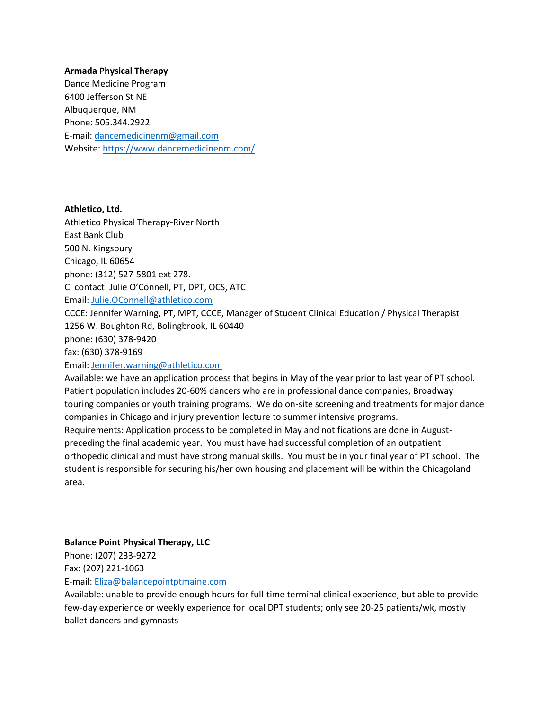## **Armada Physical Therapy**

Dance Medicine Program 6400 Jefferson St NE Albuquerque, NM Phone: 505.344.2922 E-mail: [dancemedicinenm@gmail.com](mailto:dancemedicinenm@gmail.com)  Website[: https://www.dancemedicinenm.com/](https://www.dancemedicinenm.com/)

**Athletico, Ltd.** Athletico Physical Therapy-River North East Bank Club 500 N. Kingsbury Chicago, IL 60654 phone: (312) 527-5801 ext 278. CI contact: Julie O'Connell, PT, DPT, OCS, ATC Email: [Julie.OConnell@athletico.com](mailto:Julie.OConnell@athletico.com) CCCE: Jennifer Warning, PT, MPT, CCCE, Manager of Student Clinical Education / Physical Therapist 1256 W. Boughton Rd, Bolingbrook, IL 60440 phone: (630) 378-9420 fax: (630) 378-9169

#### Email: [Jennifer.warning@athletico.com](mailto:Jennifer.warning@athletico.com)

Available: we have an application process that begins in May of the year prior to last year of PT school. Patient population includes 20-60% dancers who are in professional dance companies, Broadway touring companies or youth training programs. We do on-site screening and treatments for major dance companies in Chicago and injury prevention lecture to summer intensive programs. Requirements: Application process to be completed in May and notifications are done in August-

preceding the final academic year. You must have had successful completion of an outpatient orthopedic clinical and must have strong manual skills. You must be in your final year of PT school. The student is responsible for securing his/her own housing and placement will be within the Chicagoland area.

#### **Balance Point Physical Therapy, LLC**

Phone: (207) 233-9272

Fax: (207) 221-1063

E-mail: [Eliza@balancepointptmaine.com](mailto:Eliza@balancepointptmaine.com) 

Available: unable to provide enough hours for full-time terminal clinical experience, but able to provide few-day experience or weekly experience for local DPT students; only see 20-25 patients/wk, mostly ballet dancers and gymnasts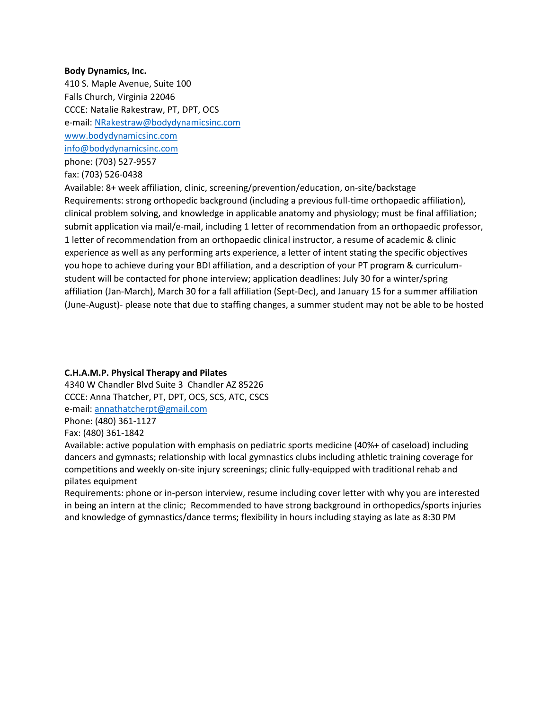#### **Body Dynamics, Inc.**

410 S. Maple Avenue, Suite 100 Falls Church, Virginia 22046 CCCE: Natalie Rakestraw, PT, DPT, OCS e-mail: [NRakestraw@bodydynamicsinc.com](mailto:NRakestraw@bodydynamicsinc.com) [www.bodydynamicsinc.com](http://www.bodydynamicsinc.com/) [info@bodydynamicsinc.com](mailto:info@bodydynamicsinc.com) phone: (703) 527-9557

fax: (703) 526-0438

Available: 8+ week affiliation, clinic, screening/prevention/education, on-site/backstage Requirements: strong orthopedic background (including a previous full-time orthopaedic affiliation), clinical problem solving, and knowledge in applicable anatomy and physiology; must be final affiliation; submit application via mail/e-mail, including 1 letter of recommendation from an orthopaedic professor, 1 letter of recommendation from an orthopaedic clinical instructor, a resume of academic & clinic experience as well as any performing arts experience, a letter of intent stating the specific objectives you hope to achieve during your BDI affiliation, and a description of your PT program & curriculumstudent will be contacted for phone interview; application deadlines: July 30 for a winter/spring affiliation (Jan-March), March 30 for a fall affiliation (Sept-Dec), and January 15 for a summer affiliation (June-August)- please note that due to staffing changes, a summer student may not be able to be hosted

# **C.H.A.M.P. Physical Therapy and Pilates**

4340 W Chandler Blvd Suite 3 Chandler AZ 85226 CCCE: Anna Thatcher, PT, DPT, OCS, SCS, ATC, CSCS e-mail: [annathatcherpt@gmail.com](mailto:annathatcherpt@gmail.com) Phone: (480) 361-1127

Fax: (480) 361-1842

Available: active population with emphasis on pediatric sports medicine (40%+ of caseload) including dancers and gymnasts; relationship with local gymnastics clubs including athletic training coverage for competitions and weekly on-site injury screenings; clinic fully-equipped with traditional rehab and pilates equipment

Requirements: phone or in-person interview, resume including cover letter with why you are interested in being an intern at the clinic; Recommended to have strong background in orthopedics/sports injuries and knowledge of gymnastics/dance terms; flexibility in hours including staying as late as 8:30 PM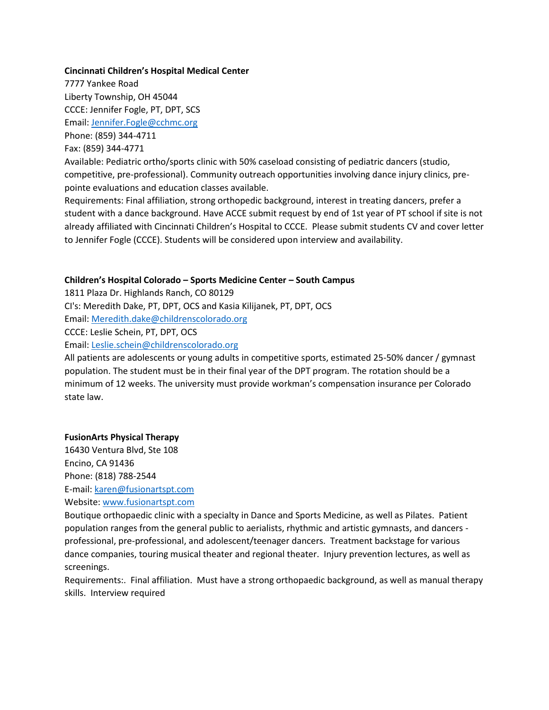## **Cincinnati Children's Hospital Medical Center**

7777 Yankee Road Liberty Township, OH 45044 CCCE: Jennifer Fogle, PT, DPT, SCS Email: [Jennifer.Fogle@cchmc.org](mailto:Jennifer.Fogle@cchmc.org) Phone: (859) 344-4711

Fax: (859) 344-4771

Available: Pediatric ortho/sports clinic with 50% caseload consisting of pediatric dancers (studio, competitive, pre-professional). Community outreach opportunities involving dance injury clinics, prepointe evaluations and education classes available.

Requirements: Final affiliation, strong orthopedic background, interest in treating dancers, prefer a student with a dance background. Have ACCE submit request by end of 1st year of PT school if site is not already affiliated with Cincinnati Children's Hospital to CCCE. Please submit students CV and cover letter to Jennifer Fogle (CCCE). Students will be considered upon interview and availability.

### **Children's Hospital Colorado – Sports Medicine Center – South Campus**

1811 Plaza Dr. Highlands Ranch, CO 80129

CI's: Meredith Dake, PT, DPT, OCS and Kasia Kilijanek, PT, DPT, OCS

Email: [Meredith.dake@childrenscolorado.org](mailto:Meredith.dake@childrenscolorado.org)

CCCE: Leslie Schein, PT, DPT, OCS

Email: [Leslie.schein@childrenscolorado.org](mailto:Leslie.schein@childrenscolorado.org)

All patients are adolescents or young adults in competitive sports, estimated 25-50% dancer / gymnast population. The student must be in their final year of the DPT program. The rotation should be a minimum of 12 weeks. The university must provide workman's compensation insurance per Colorado state law.

#### **FusionArts Physical Therapy**

16430 Ventura Blvd, Ste 108 Encino, CA 91436 Phone: (818) 788-2544 E-mail: [karen@fusionartspt.com](mailto:karen@fusionartspt.com) Website[: www.fusionartspt.com](http://www.fusionartspt.com/)

Boutique orthopaedic clinic with a specialty in Dance and Sports Medicine, as well as Pilates. Patient population ranges from the general public to aerialists, rhythmic and artistic gymnasts, and dancers professional, pre-professional, and adolescent/teenager dancers. Treatment backstage for various dance companies, touring musical theater and regional theater. Injury prevention lectures, as well as screenings.

Requirements:. Final affiliation. Must have a strong orthopaedic background, as well as manual therapy skills. Interview required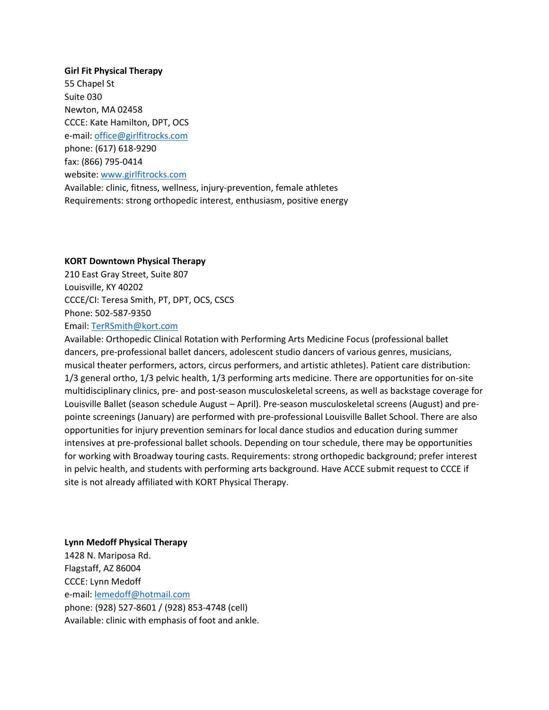**Girl Fit Physical Therapy** 55 Chapel St Suite 030 Newton, MA 02458 CCCE: Kate Hamilton, DPT, OCS e-mail: [office@girlfitrocks.com](mailto:office@girlfitrocks.com)  phone: (617) 618-9290 fax: (866) 795-0414 website[: www.girlfitrocks.com](http://www.girlfitrocks.com/) Available: clinic, fitness, wellness, injury-prevention, female athletes Requirements: strong orthopedic interest, enthusiasm, positive energy

### **KORT Downtown Physical Therapy**

210 East Gray Street, Suite 807 Louisville, KY 40202 CCCE/CI: Teresa Smith, PT, DPT, OCS, CSCS Phone: 502-587-9350 Email: [TerRSmith@kort.com](mailto:TerRSmith@kort.com)

Available: Orthopedic Clinical Rotation with Performing Arts Medicine Focus (professional ballet dancers, pre-professional ballet dancers, adolescent studio dancers of various genres, musicians, musical theater performers, actors, circus performers, and artistic athletes). Patient care distribution: 1/3 general ortho, 1/3 pelvic health, 1/3 performing arts medicine. There are opportunities for on-site multidisciplinary clinics, pre- and post-season musculoskeletal screens, as well as backstage coverage for Louisville Ballet (season schedule August – April). Pre-season musculoskeletal screens (August) and prepointe screenings (January) are performed with pre-professional Louisville Ballet School. There are also opportunities for injury prevention seminars for local dance studios and education during summer intensives at pre-professional ballet schools. Depending on tour schedule, there may be opportunities for working with Broadway touring casts. Requirements: strong orthopedic background; prefer interest in pelvic health, and students with performing arts background. Have ACCE submit request to CCCE if site is not already affiliated with KORT Physical Therapy.

**Lynn Medoff Physical Therapy** 1428 N. Mariposa Rd. Flagstaff, AZ 86004 CCCE: Lynn Medoff e-mail: [lemedoff@hotmail.com](mailto:lemedoff@hotmail.com) phone: (928) 527-8601 / (928) 853-4748 (cell) Available: clinic with emphasis of foot and ankle.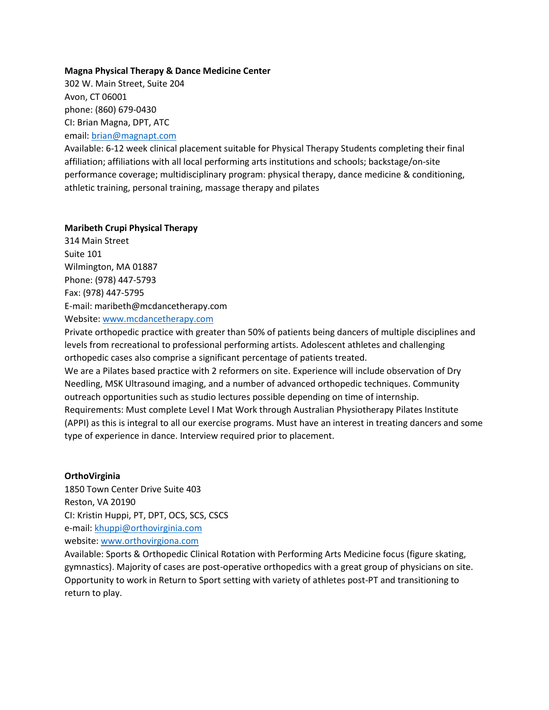### **Magna Physical Therapy & Dance Medicine Center**

302 W. Main Street, Suite 204 Avon, CT 06001 phone: (860) 679-0430 CI: Brian Magna, DPT, ATC email: [brian@magnapt.com](mailto:brian@magnapt.com)

Available: 6-12 week clinical placement suitable for Physical Therapy Students completing their final affiliation; affiliations with all local performing arts institutions and schools; backstage/on-site performance coverage; multidisciplinary program: physical therapy, dance medicine & conditioning, athletic training, personal training, massage therapy and pilates

#### **Maribeth Crupi Physical Therapy**

314 Main Street Suite 101 Wilmington, MA 01887 Phone: (978) 447-5793 Fax: (978) 447-5795 E-mail: maribeth@mcdancetherapy.com Website[: www.mcdancetherapy.com](http://www.mcdancetherapy.com/)

Private orthopedic practice with greater than 50% of patients being dancers of multiple disciplines and levels from recreational to professional performing artists. Adolescent athletes and challenging orthopedic cases also comprise a significant percentage of patients treated.

We are a Pilates based practice with 2 reformers on site. Experience will include observation of Dry Needling, MSK Ultrasound imaging, and a number of advanced orthopedic techniques. Community outreach opportunities such as studio lectures possible depending on time of internship. Requirements: Must complete Level I Mat Work through Australian Physiotherapy Pilates Institute (APPI) as this is integral to all our exercise programs. Must have an interest in treating dancers and some type of experience in dance. Interview required prior to placement.

## **OrthoVirginia**

1850 Town Center Drive Suite 403 Reston, VA 20190 CI: Kristin Huppi, PT, DPT, OCS, SCS, CSCS e-mail: [khuppi@orthovirginia.com](mailto:khuppi@orthovirginia.com) website[: www.orthovirgiona.com](http://www.orthovirgiona.com/)

Available: Sports & Orthopedic Clinical Rotation with Performing Arts Medicine focus (figure skating, gymnastics). Majority of cases are post-operative orthopedics with a great group of physicians on site. Opportunity to work in Return to Sport setting with variety of athletes post-PT and transitioning to return to play.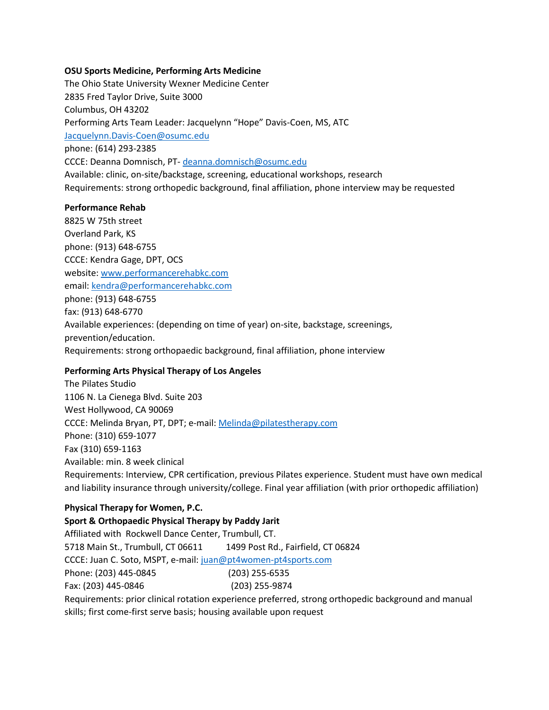### **OSU Sports Medicine, Performing Arts Medicine**

The Ohio State University Wexner Medicine Center 2835 Fred Taylor Drive, Suite 3000 Columbus, OH 43202 Performing Arts Team Leader: Jacquelynn "Hope" Davis-Coen, MS, ATC [Jacquelynn.Davis-Coen@osumc.edu](mailto:Jacquelynn.Davis-Coen@osumc.edu) phone: (614) 293-2385 CCCE: Deanna Domnisch, PT- [deanna.domnisch@osumc.edu](mailto:deanna.domnisch@osumc.edu) Available: clinic, on-site/backstage, screening, educational workshops, research Requirements: strong orthopedic background, final affiliation, phone interview may be requested

### **Performance Rehab**

8825 W 75th street Overland Park, KS phone: (913) 648-6755 CCCE: Kendra Gage, DPT, OCS website[: www.performancerehabkc.com](http://www.performancerehabkc.com/) email: [kendra@performancerehabkc.com](mailto:kendra@performancerehabkc.com) phone: (913) 648-6755 fax: (913) 648-6770 Available experiences: (depending on time of year) on-site, backstage, screenings, prevention/education. Requirements: strong orthopaedic background, final affiliation, phone interview

## **Performing Arts Physical Therapy of Los Angeles**

The Pilates Studio 1106 N. La Cienega Blvd. Suite 203 West Hollywood, CA 90069 CCCE: Melinda Bryan, PT, DPT; e-mail[: Melinda@pilatestherapy.com](mailto:Melinda@pilatestherapy.com) Phone: (310) 659-1077 Fax (310) 659-1163 Available: min. 8 week clinical Requirements: Interview, CPR certification, previous Pilates experience. Student must have own medical and liability insurance through university/college. Final year affiliation (with prior orthopedic affiliation)

# **Physical Therapy for Women, P.C.**

**Sport & Orthopaedic Physical Therapy by Paddy Jarit**  Affiliated with Rockwell Dance Center, Trumbull, CT. 5718 Main St., Trumbull, CT 06611 1499 Post Rd., Fairfield, CT 06824 CCCE: Juan C. Soto, MSPT, e-mail: [juan@pt4women-pt4sports.com](mailto:juan@pt4women-pt4sports.com) Phone: (203) 445-0845 (203) 255-6535 Fax: (203) 445-0846 (203) 255-9874 Requirements: prior clinical rotation experience preferred, strong orthopedic background and manual skills; first come-first serve basis; housing available upon request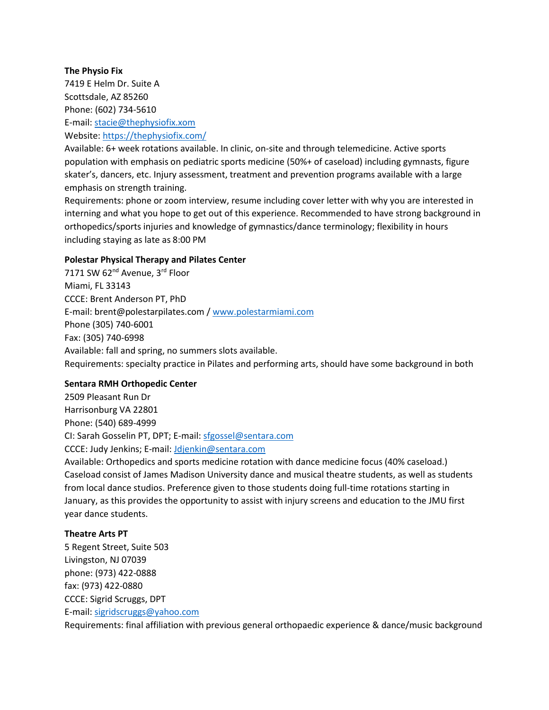## **The Physio Fix**

7419 E Helm Dr. Suite A Scottsdale, AZ 85260 Phone: (602) 734-5610 E-mail: [stacie@thephysiofix.xom](mailto:stacie@thephysiofix.xom) Website[: https://thephysiofix.com/](https://thephysiofix.com/)

Available: 6+ week rotations available. In clinic, on-site and through telemedicine. Active sports population with emphasis on pediatric sports medicine (50%+ of caseload) including gymnasts, figure skater's, dancers, etc. Injury assessment, treatment and prevention programs available with a large emphasis on strength training.

Requirements: phone or zoom interview, resume including cover letter with why you are interested in interning and what you hope to get out of this experience. Recommended to have strong background in orthopedics/sports injuries and knowledge of gymnastics/dance terminology; flexibility in hours including staying as late as 8:00 PM

## **Polestar Physical Therapy and Pilates Center**

7171 SW 62<sup>nd</sup> Avenue, 3<sup>rd</sup> Floor Miami, FL 33143 CCCE: Brent Anderson PT, PhD E-mail: brent@polestarpilates.com / [www.polestarmiami.com](http://www.polestarmiami.com/) Phone (305) 740-6001 Fax: (305) 740-6998 Available: fall and spring, no summers slots available. Requirements: specialty practice in Pilates and performing arts, should have some background in both

## **Sentara RMH Orthopedic Center**

2509 Pleasant Run Dr Harrisonburg VA 22801 Phone: (540) 689-4999 CI: Sarah Gosselin PT, DPT; E-mail[: sfgossel@sentara.com](mailto:sfgossel@sentara.com) CCCE: Judy Jenkins; E-mail: [Jdjenkin@sentara.com](mailto:Jdjenkin@sentara.com) Available: Orthopedics and sports medicine rotation with dance medicine focus (40% caseload.) Caseload consist of James Madison University dance and musical theatre students, as well as students from local dance studios. Preference given to those students doing full-time rotations starting in January, as this provides the opportunity to assist with injury screens and education to the JMU first year dance students.

### **Theatre Arts PT**

5 Regent Street, Suite 503 Livingston, NJ 07039 phone: (973) 422-0888 fax: (973) 422-0880 CCCE: Sigrid Scruggs, DPT E-mail: [sigridscruggs@yahoo.com](mailto:sigridscruggs@yahoo.com)

Requirements: final affiliation with previous general orthopaedic experience & dance/music background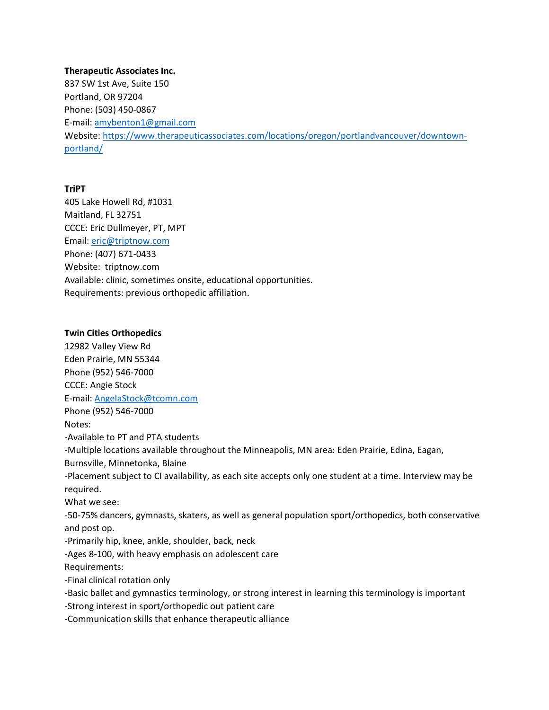#### **Therapeutic Associates Inc.**

837 SW 1st Ave, Suite 150 Portland, OR 97204 Phone: (503) 450-0867 E-mail: [amybenton1@gmail.com](mailto:amybenton1@gmail.com) Website[: https://www.therapeuticassociates.com/locations/oregon/portlandvancouver/downtown](https://www.therapeuticassociates.com/locations/oregon/portlandvancouver/downtown-portland/)[portland/](https://www.therapeuticassociates.com/locations/oregon/portlandvancouver/downtown-portland/)

## **TriPT**

405 Lake Howell Rd, #1031 Maitland, FL 32751 CCCE: Eric Dullmeyer, PT, MPT Email: eric@triptnow.com Phone: (407) 671-0433 Website: triptnow.com Available: clinic, sometimes onsite, educational opportunities. Requirements: previous orthopedic affiliation.

### **Twin Cities Orthopedics**

12982 Valley View Rd Eden Prairie, MN 55344 Phone (952) 546-7000 CCCE: Angie Stock E-mail: [AngelaStock@tcomn.com](mailto:AngelaStock@tcomn.com) Phone (952) 546-7000 Notes: -Available to PT and PTA students -Multiple locations available throughout the Minneapolis, MN area: Eden Prairie, Edina, Eagan, Burnsville, Minnetonka, Blaine -Placement subject to CI availability, as each site accepts only one student at a time. Interview may be required. What we see: -50-75% dancers, gymnasts, skaters, as well as general population sport/orthopedics, both conservative and post op. -Primarily hip, knee, ankle, shoulder, back, neck -Ages 8-100, with heavy emphasis on adolescent care Requirements: -Final clinical rotation only -Basic ballet and gymnastics terminology, or strong interest in learning this terminology is important -Strong interest in sport/orthopedic out patient care

-Communication skills that enhance therapeutic alliance